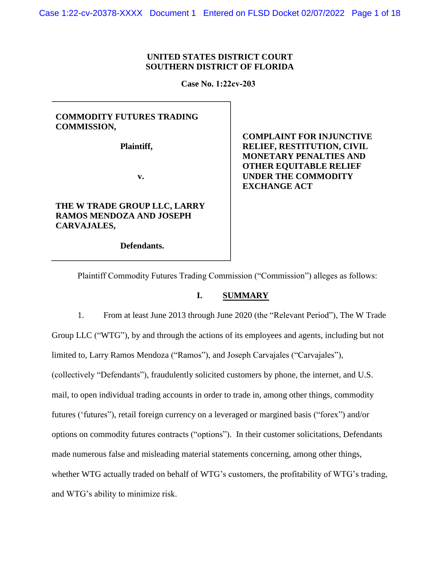## **UNITED STATES DISTRICT COURT SOUTHERN DISTRICT OF FLORIDA**

**Case No. 1:22cv-203**

## **COMMODITY FUTURES TRADING COMMISSION,**

**Plaintiff,**

**v.**

# **THE W TRADE GROUP LLC, LARRY RAMOS MENDOZA AND JOSEPH CARVAJALES,**

**Defendants.**

**COMPLAINT FOR INJUNCTIVE RELIEF, RESTITUTION, CIVIL MONETARY PENALTIES AND OTHER EQUITABLE RELIEF UNDER THE COMMODITY EXCHANGE ACT**

Plaintiff Commodity Futures Trading Commission ("Commission") alleges as follows:

## **I. SUMMARY**

1. From at least June 2013 through June 2020 (the "Relevant Period"), The W Trade Group LLC ("WTG"), by and through the actions of its employees and agents, including but not limited to, Larry Ramos Mendoza ("Ramos"), and Joseph Carvajales ("Carvajales"), (collectively "Defendants"), fraudulently solicited customers by phone, the internet, and U.S. mail, to open individual trading accounts in order to trade in, among other things, commodity futures ('futures"), retail foreign currency on a leveraged or margined basis ("forex") and/or options on commodity futures contracts ("options"). In their customer solicitations, Defendants made numerous false and misleading material statements concerning, among other things, whether WTG actually traded on behalf of WTG's customers, the profitability of WTG's trading, and WTG's ability to minimize risk.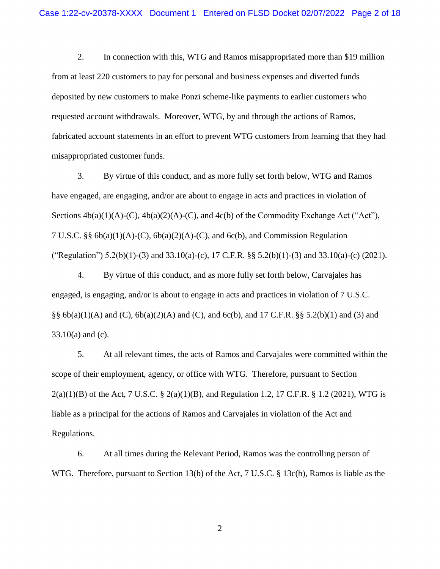2. In connection with this, WTG and Ramos misappropriated more than \$19 million from at least 220 customers to pay for personal and business expenses and diverted funds deposited by new customers to make Ponzi scheme-like payments to earlier customers who requested account withdrawals. Moreover, WTG, by and through the actions of Ramos, fabricated account statements in an effort to prevent WTG customers from learning that they had misappropriated customer funds.

3. By virtue of this conduct, and as more fully set forth below, WTG and Ramos have engaged, are engaging, and/or are about to engage in acts and practices in violation of Sections  $4b(a)(1)(A)-(C)$ ,  $4b(a)(2)(A)-(C)$ , and  $4c(b)$  of the Commodity Exchange Act ("Act"), 7 U.S.C. §§  $6b(a)(1)(A)-(C)$ ,  $6b(a)(2)(A)-(C)$ , and  $6c(b)$ , and Commission Regulation ("Regulation") 5.2(b)(1)-(3) and 33.10(a)-(c), 17 C.F.R. §§ 5.2(b)(1)-(3) and 33.10(a)-(c) (2021).

4. By virtue of this conduct, and as more fully set forth below, Carvajales has engaged, is engaging, and/or is about to engage in acts and practices in violation of 7 U.S.C. §§  $6b(a)(1)(A)$  and  $(C)$ ,  $6b(a)(2)(A)$  and  $(C)$ , and  $6c(b)$ , and 17 C.F.R. §§ 5.2(b)(1) and (3) and 33.10(a) and (c).

5. At all relevant times, the acts of Ramos and Carvajales were committed within the scope of their employment, agency, or office with WTG. Therefore, pursuant to Section  $2(a)(1)(B)$  of the Act, 7 U.S.C. §  $2(a)(1)(B)$ , and Regulation 1.2, 17 C.F.R. § 1.2 (2021), WTG is liable as a principal for the actions of Ramos and Carvajales in violation of the Act and Regulations.

6. At all times during the Relevant Period, Ramos was the controlling person of WTG. Therefore, pursuant to Section 13(b) of the Act, 7 U.S.C. § 13c(b), Ramos is liable as the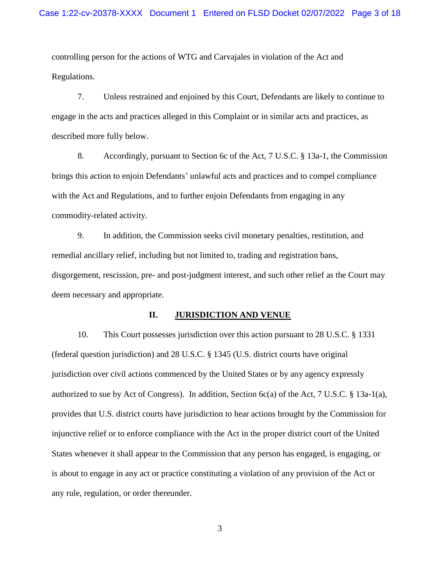controlling person for the actions of WTG and Carvajales in violation of the Act and Regulations.

7. Unless restrained and enjoined by this Court, Defendants are likely to continue to engage in the acts and practices alleged in this Complaint or in similar acts and practices, as described more fully below.

8. Accordingly, pursuant to Section 6c of the Act, 7 U.S.C. § 13a-1, the Commission brings this action to enjoin Defendants' unlawful acts and practices and to compel compliance with the Act and Regulations, and to further enjoin Defendants from engaging in any commodity-related activity.

9. In addition, the Commission seeks civil monetary penalties, restitution, and remedial ancillary relief, including but not limited to, trading and registration bans, disgorgement, rescission, pre- and post-judgment interest, and such other relief as the Court may deem necessary and appropriate.

#### **II. JURISDICTION AND VENUE**

10. This Court possesses jurisdiction over this action pursuant to 28 U.S.C. § 1331 (federal question jurisdiction) and 28 U.S.C. § 1345 (U.S. district courts have original jurisdiction over civil actions commenced by the United States or by any agency expressly authorized to sue by Act of Congress). In addition, Section 6c(a) of the Act, 7 U.S.C.  $\S$  13a-1(a), provides that U.S. district courts have jurisdiction to hear actions brought by the Commission for injunctive relief or to enforce compliance with the Act in the proper district court of the United States whenever it shall appear to the Commission that any person has engaged, is engaging, or is about to engage in any act or practice constituting a violation of any provision of the Act or any rule, regulation, or order thereunder.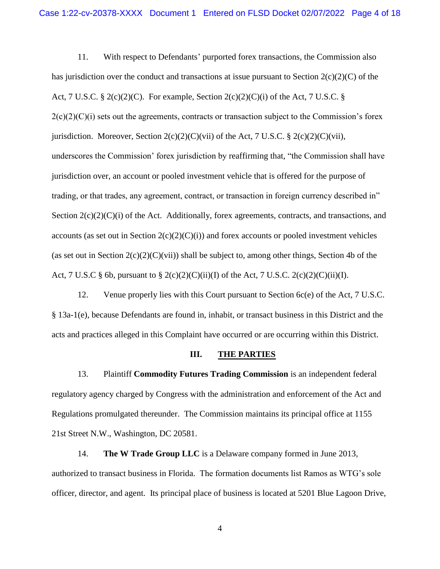11. With respect to Defendants' purported forex transactions, the Commission also has jurisdiction over the conduct and transactions at issue pursuant to Section  $2(c)(2)(C)$  of the Act, 7 U.S.C. § 2(c)(2)(C). For example, Section 2(c)(2)(C)(i) of the Act, 7 U.S.C. §  $2(c)(2)(c)(i)$  sets out the agreements, contracts or transaction subject to the Commission's forex jurisdiction. Moreover, Section  $2(c)(2)(C)(vi)$  of the Act, 7 U.S.C. §  $2(c)(2)(C)(vii)$ , underscores the Commission' forex jurisdiction by reaffirming that, "the Commission shall have jurisdiction over, an account or pooled investment vehicle that is offered for the purpose of trading, or that trades, any agreement, contract, or transaction in foreign currency described in" Section  $2(c)(2)(C)(i)$  of the Act. Additionally, forex agreements, contracts, and transactions, and accounts (as set out in Section  $2(c)(2)(C)(i)$ ) and forex accounts or pooled investment vehicles (as set out in Section  $2(c)(2)(C)(vi)$ ) shall be subject to, among other things, Section 4b of the Act, 7 U.S.C § 6b, pursuant to § 2(c)(2)(C)(ii)(I) of the Act, 7 U.S.C. 2(c)(2)(C)(ii)(I).

12. Venue properly lies with this Court pursuant to Section 6c(e) of the Act, 7 U.S.C. § 13a-1(e), because Defendants are found in, inhabit, or transact business in this District and the acts and practices alleged in this Complaint have occurred or are occurring within this District.

#### **III. THE PARTIES**

13. Plaintiff **Commodity Futures Trading Commission** is an independent federal regulatory agency charged by Congress with the administration and enforcement of the Act and Regulations promulgated thereunder. The Commission maintains its principal office at 1155 21st Street N.W., Washington, DC 20581.

14. **The W Trade Group LLC** is a Delaware company formed in June 2013, authorized to transact business in Florida. The formation documents list Ramos as WTG's sole officer, director, and agent. Its principal place of business is located at 5201 Blue Lagoon Drive,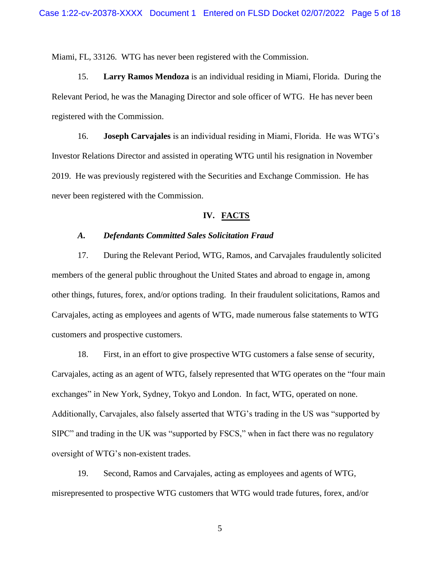Miami, FL, 33126. WTG has never been registered with the Commission.

15. **Larry Ramos Mendoza** is an individual residing in Miami, Florida. During the Relevant Period, he was the Managing Director and sole officer of WTG. He has never been registered with the Commission.

16. **Joseph Carvajales** is an individual residing in Miami, Florida. He was WTG's Investor Relations Director and assisted in operating WTG until his resignation in November 2019. He was previously registered with the Securities and Exchange Commission. He has never been registered with the Commission.

#### **IV. FACTS**

## *A. Defendants Committed Sales Solicitation Fraud*

17. During the Relevant Period, WTG, Ramos, and Carvajales fraudulently solicited members of the general public throughout the United States and abroad to engage in, among other things, futures, forex, and/or options trading. In their fraudulent solicitations, Ramos and Carvajales, acting as employees and agents of WTG, made numerous false statements to WTG customers and prospective customers.

18. First, in an effort to give prospective WTG customers a false sense of security, Carvajales, acting as an agent of WTG, falsely represented that WTG operates on the "four main exchanges" in New York, Sydney, Tokyo and London. In fact, WTG, operated on none. Additionally, Carvajales, also falsely asserted that WTG's trading in the US was "supported by SIPC" and trading in the UK was "supported by FSCS," when in fact there was no regulatory oversight of WTG's non-existent trades.

19. Second, Ramos and Carvajales, acting as employees and agents of WTG, misrepresented to prospective WTG customers that WTG would trade futures, forex, and/or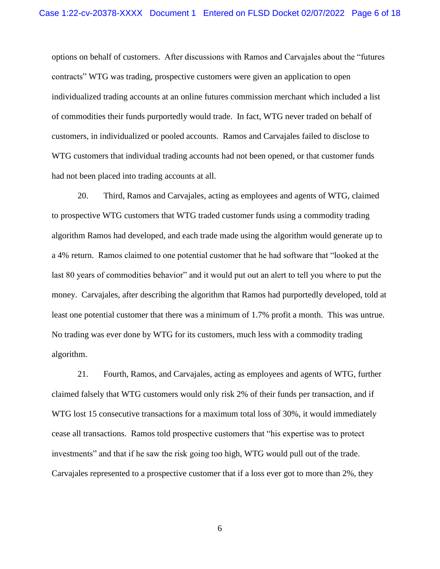options on behalf of customers. After discussions with Ramos and Carvajales about the "futures contracts" WTG was trading, prospective customers were given an application to open individualized trading accounts at an online futures commission merchant which included a list of commodities their funds purportedly would trade. In fact, WTG never traded on behalf of customers, in individualized or pooled accounts. Ramos and Carvajales failed to disclose to WTG customers that individual trading accounts had not been opened, or that customer funds had not been placed into trading accounts at all.

20. Third, Ramos and Carvajales, acting as employees and agents of WTG, claimed to prospective WTG customers that WTG traded customer funds using a commodity trading algorithm Ramos had developed, and each trade made using the algorithm would generate up to a 4% return. Ramos claimed to one potential customer that he had software that "looked at the last 80 years of commodities behavior" and it would put out an alert to tell you where to put the money. Carvajales, after describing the algorithm that Ramos had purportedly developed, told at least one potential customer that there was a minimum of 1.7% profit a month. This was untrue. No trading was ever done by WTG for its customers, much less with a commodity trading algorithm.

21. Fourth, Ramos, and Carvajales, acting as employees and agents of WTG, further claimed falsely that WTG customers would only risk 2% of their funds per transaction, and if WTG lost 15 consecutive transactions for a maximum total loss of 30%, it would immediately cease all transactions. Ramos told prospective customers that "his expertise was to protect investments" and that if he saw the risk going too high, WTG would pull out of the trade. Carvajales represented to a prospective customer that if a loss ever got to more than 2%, they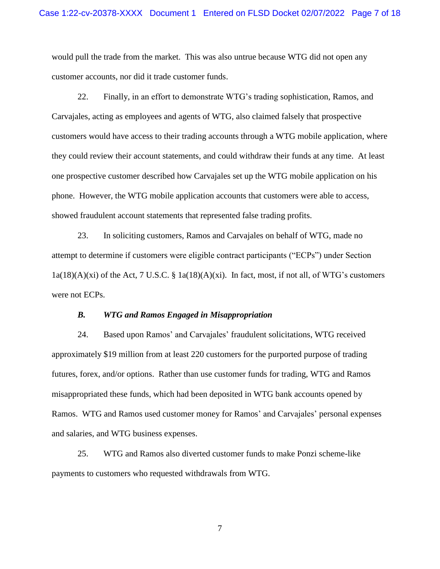would pull the trade from the market. This was also untrue because WTG did not open any customer accounts, nor did it trade customer funds.

22. Finally, in an effort to demonstrate WTG's trading sophistication, Ramos, and Carvajales, acting as employees and agents of WTG, also claimed falsely that prospective customers would have access to their trading accounts through a WTG mobile application, where they could review their account statements, and could withdraw their funds at any time. At least one prospective customer described how Carvajales set up the WTG mobile application on his phone. However, the WTG mobile application accounts that customers were able to access, showed fraudulent account statements that represented false trading profits.

23. In soliciting customers, Ramos and Carvajales on behalf of WTG, made no attempt to determine if customers were eligible contract participants ("ECPs") under Section  $1a(18)(A)(xi)$  of the Act, 7 U.S.C. §  $1a(18)(A)(xi)$ . In fact, most, if not all, of WTG's customers were not ECPs.

#### *B. WTG and Ramos Engaged in Misappropriation*

24. Based upon Ramos' and Carvajales' fraudulent solicitations, WTG received approximately \$19 million from at least 220 customers for the purported purpose of trading futures, forex, and/or options. Rather than use customer funds for trading, WTG and Ramos misappropriated these funds, which had been deposited in WTG bank accounts opened by Ramos. WTG and Ramos used customer money for Ramos' and Carvajales' personal expenses and salaries, and WTG business expenses.

25. WTG and Ramos also diverted customer funds to make Ponzi scheme-like payments to customers who requested withdrawals from WTG.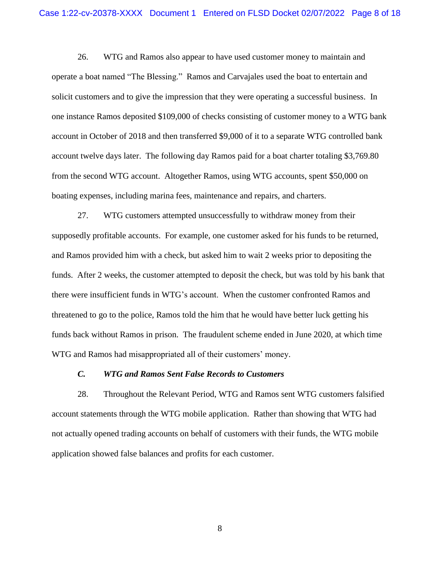26. WTG and Ramos also appear to have used customer money to maintain and operate a boat named "The Blessing." Ramos and Carvajales used the boat to entertain and solicit customers and to give the impression that they were operating a successful business. In one instance Ramos deposited \$109,000 of checks consisting of customer money to a WTG bank account in October of 2018 and then transferred \$9,000 of it to a separate WTG controlled bank account twelve days later. The following day Ramos paid for a boat charter totaling \$3,769.80 from the second WTG account. Altogether Ramos, using WTG accounts, spent \$50,000 on boating expenses, including marina fees, maintenance and repairs, and charters.

27. WTG customers attempted unsuccessfully to withdraw money from their supposedly profitable accounts. For example, one customer asked for his funds to be returned, and Ramos provided him with a check, but asked him to wait 2 weeks prior to depositing the funds. After 2 weeks, the customer attempted to deposit the check, but was told by his bank that there were insufficient funds in WTG's account. When the customer confronted Ramos and threatened to go to the police, Ramos told the him that he would have better luck getting his funds back without Ramos in prison. The fraudulent scheme ended in June 2020, at which time WTG and Ramos had misappropriated all of their customers' money.

#### *C. WTG and Ramos Sent False Records to Customers*

28. Throughout the Relevant Period, WTG and Ramos sent WTG customers falsified account statements through the WTG mobile application. Rather than showing that WTG had not actually opened trading accounts on behalf of customers with their funds, the WTG mobile application showed false balances and profits for each customer.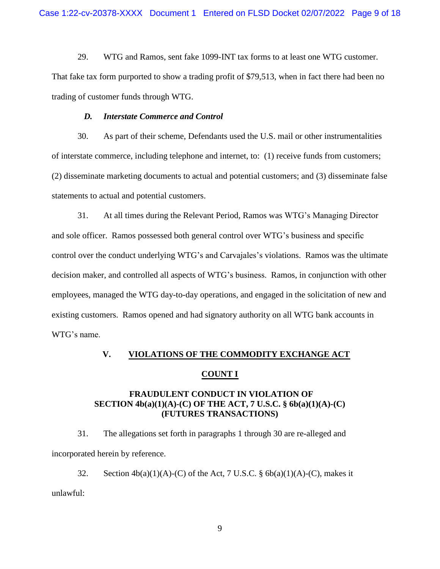29. WTG and Ramos, sent fake 1099-INT tax forms to at least one WTG customer. That fake tax form purported to show a trading profit of \$79,513, when in fact there had been no trading of customer funds through WTG.

#### *D. Interstate Commerce and Control*

30. As part of their scheme, Defendants used the U.S. mail or other instrumentalities of interstate commerce, including telephone and internet, to: (1) receive funds from customers; (2) disseminate marketing documents to actual and potential customers; and (3) disseminate false statements to actual and potential customers.

31. At all times during the Relevant Period, Ramos was WTG's Managing Director and sole officer. Ramos possessed both general control over WTG's business and specific control over the conduct underlying WTG's and Carvajales's violations. Ramos was the ultimate decision maker, and controlled all aspects of WTG's business. Ramos, in conjunction with other employees, managed the WTG day-to-day operations, and engaged in the solicitation of new and existing customers. Ramos opened and had signatory authority on all WTG bank accounts in WTG's name.

# **V. VIOLATIONS OF THE COMMODITY EXCHANGE ACT COUNT I**

## **FRAUDULENT CONDUCT IN VIOLATION OF SECTION 4b(a)(1)(A)-(C) OF THE ACT, 7 U.S.C. § 6b(a)(1)(A)-(C) (FUTURES TRANSACTIONS)**

31. The allegations set forth in paragraphs 1 through 30 are re-alleged and incorporated herein by reference.

32. Section  $4b(a)(1)(A)-(C)$  of the Act, 7 U.S.C. §  $6b(a)(1)(A)-(C)$ , makes it unlawful: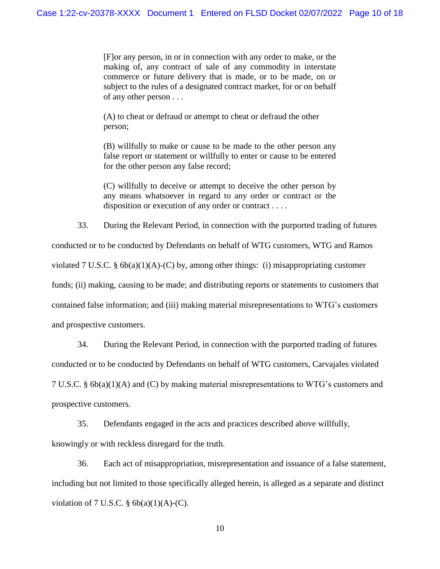[F]or any person, in or in connection with any order to make, or the making of, any contract of sale of any commodity in interstate commerce or future delivery that is made, or to be made, on or subject to the rules of a designated contract market, for or on behalf of any other person . . .

(A) to cheat or defraud or attempt to cheat or defraud the other person;

(B) willfully to make or cause to be made to the other person any false report or statement or willfully to enter or cause to be entered for the other person any false record;

(C) willfully to deceive or attempt to deceive the other person by any means whatsoever in regard to any order or contract or the disposition or execution of any order or contract . . . .

33. During the Relevant Period, in connection with the purported trading of futures conducted or to be conducted by Defendants on behalf of WTG customers, WTG and Ramos violated 7 U.S.C. § 6b(a)(1)(A)-(C) by, among other things: (i) misappropriating customer funds; (ii) making, causing to be made; and distributing reports or statements to customers that contained false information; and (iii) making material misrepresentations to WTG's customers and prospective customers.

34. During the Relevant Period, in connection with the purported trading of futures conducted or to be conducted by Defendants on behalf of WTG customers, Carvajales violated 7 U.S.C. § 6b(a)(1)(A) and (C) by making material misrepresentations to WTG's customers and prospective customers.

35. Defendants engaged in the acts and practices described above willfully,

knowingly or with reckless disregard for the truth.

36. Each act of misappropriation, misrepresentation and issuance of a false statement, including but not limited to those specifically alleged herein, is alleged as a separate and distinct violation of 7 U.S.C.  $\S$  6b(a)(1)(A)-(C).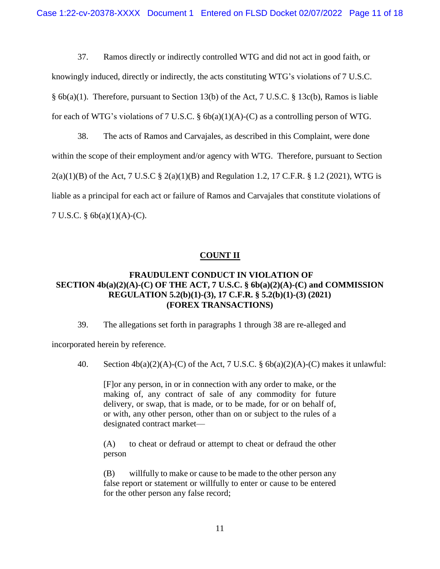37. Ramos directly or indirectly controlled WTG and did not act in good faith, or knowingly induced, directly or indirectly, the acts constituting WTG's violations of 7 U.S.C. § 6b(a)(1). Therefore, pursuant to Section 13(b) of the Act, 7 U.S.C. § 13c(b), Ramos is liable for each of WTG's violations of 7 U.S.C. §  $6b(a)(1)(A)-(C)$  as a controlling person of WTG.

38. The acts of Ramos and Carvajales, as described in this Complaint, were done within the scope of their employment and/or agency with WTG. Therefore, pursuant to Section  $2(a)(1)(B)$  of the Act, 7 U.S.C §  $2(a)(1)(B)$  and Regulation 1.2, 17 C.F.R. § 1.2 (2021), WTG is liable as a principal for each act or failure of Ramos and Carvajales that constitute violations of 7 U.S.C. § 6b(a)(1)(A)-(C).

# **COUNT II**

# **FRAUDULENT CONDUCT IN VIOLATION OF SECTION 4b(a)(2)(A)-(C) OF THE ACT, 7 U.S.C. § 6b(a)(2)(A)-(C) and COMMISSION REGULATION 5.2(b)(1)-(3), 17 C.F.R. § 5.2(b)(1)-(3) (2021) (FOREX TRANSACTIONS)**

39. The allegations set forth in paragraphs 1 through 38 are re-alleged and

incorporated herein by reference.

40. Section  $4b(a)(2)(A)-(C)$  of the Act, 7 U.S.C. §  $6b(a)(2)(A)-(C)$  makes it unlawful:

[F]or any person, in or in connection with any order to make, or the making of, any contract of sale of any commodity for future delivery, or swap, that is made, or to be made, for or on behalf of, or with, any other person, other than on or subject to the rules of a designated contract market—

(A) to cheat or defraud or attempt to cheat or defraud the other person

(B) willfully to make or cause to be made to the other person any false report or statement or willfully to enter or cause to be entered for the other person any false record;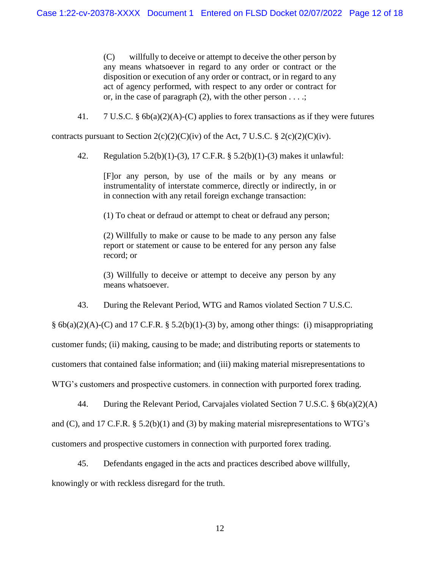(C) willfully to deceive or attempt to deceive the other person by any means whatsoever in regard to any order or contract or the disposition or execution of any order or contract, or in regard to any act of agency performed, with respect to any order or contract for or, in the case of paragraph  $(2)$ , with the other person  $\dots$ ;

41. 7 U.S.C. § 6b(a)(2)(A)-(C) applies to forex transactions as if they were futures

contracts pursuant to Section  $2(c)(2)(C)(iv)$  of the Act, 7 U.S.C. §  $2(c)(2)(C)(iv)$ .

42. Regulation 5.2(b)(1)-(3), 17 C.F.R. § 5.2(b)(1)-(3) makes it unlawful:

[F]or any person, by use of the mails or by any means or instrumentality of interstate commerce, directly or indirectly, in or in connection with any retail foreign exchange transaction:

(1) To cheat or defraud or attempt to cheat or defraud any person;

(2) Willfully to make or cause to be made to any person any false report or statement or cause to be entered for any person any false record; or

(3) Willfully to deceive or attempt to deceive any person by any means whatsoever.

43. During the Relevant Period, WTG and Ramos violated Section 7 U.S.C.

§  $6b(a)(2)(A)-(C)$  and 17 C.F.R. § 5.2(b)(1)-(3) by, among other things: (i) misappropriating

customer funds; (ii) making, causing to be made; and distributing reports or statements to

customers that contained false information; and (iii) making material misrepresentations to

WTG's customers and prospective customers. in connection with purported forex trading.

44. During the Relevant Period, Carvajales violated Section 7 U.S.C. §  $6b(a)(2)(A)$ 

and (C), and 17 C.F.R.  $\S$  5.2(b)(1) and (3) by making material misrepresentations to WTG's

customers and prospective customers in connection with purported forex trading.

45. Defendants engaged in the acts and practices described above willfully,

knowingly or with reckless disregard for the truth.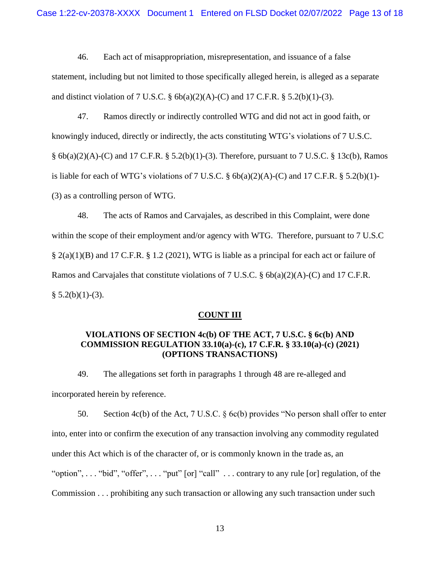46. Each act of misappropriation, misrepresentation, and issuance of a false statement, including but not limited to those specifically alleged herein, is alleged as a separate and distinct violation of 7 U.S.C.  $\S$  6b(a)(2)(A)-(C) and 17 C.F.R.  $\S$  5.2(b)(1)-(3).

47. Ramos directly or indirectly controlled WTG and did not act in good faith, or knowingly induced, directly or indirectly, the acts constituting WTG's violations of 7 U.S.C.  $§ 6b(a)(2)(A)-(C)$  and 17 C.F.R. § 5.2(b)(1)-(3). Therefore, pursuant to 7 U.S.C. § 13c(b), Ramos is liable for each of WTG's violations of 7 U.S.C. §  $6b(a)(2)(A)$ -(C) and 17 C.F.R. § 5.2(b)(1)-(3) as a controlling person of WTG.

48. The acts of Ramos and Carvajales, as described in this Complaint, were done within the scope of their employment and/or agency with WTG. Therefore, pursuant to 7 U.S.C § 2(a)(1)(B) and 17 C.F.R. § 1.2 (2021), WTG is liable as a principal for each act or failure of Ramos and Carvajales that constitute violations of 7 U.S.C. § 6b(a)(2)(A)-(C) and 17 C.F.R.  $§ 5.2(b)(1)-(3).$ 

#### **COUNT III**

## **VIOLATIONS OF SECTION 4c(b) OF THE ACT, 7 U.S.C. § 6c(b) AND COMMISSION REGULATION 33.10(a)-(c), 17 C.F.R. § 33.10(a)-(c) (2021) (OPTIONS TRANSACTIONS)**

49. The allegations set forth in paragraphs 1 through 48 are re-alleged and incorporated herein by reference.

50. Section 4c(b) of the Act, 7 U.S.C. § 6c(b) provides "No person shall offer to enter into, enter into or confirm the execution of any transaction involving any commodity regulated under this Act which is of the character of, or is commonly known in the trade as, an "option", . . . "bid", "offer", . . . "put" [or] "call" . . . contrary to any rule [or] regulation, of the Commission . . . prohibiting any such transaction or allowing any such transaction under such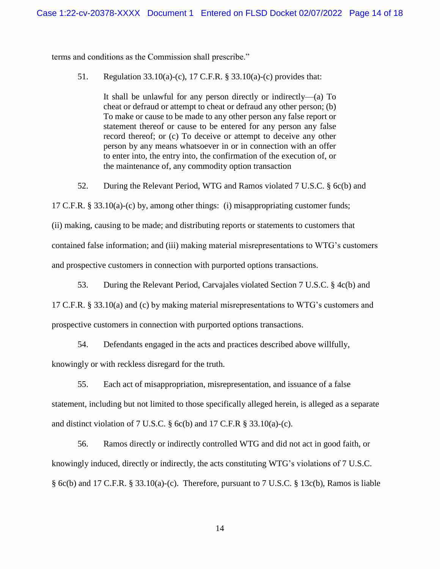terms and conditions as the Commission shall prescribe."

51. Regulation 33.10(a)-(c), 17 C.F.R. § 33.10(a)-(c) provides that:

It shall be unlawful for any person directly or indirectly—(a) To cheat or defraud or attempt to cheat or defraud any other person; (b) To make or cause to be made to any other person any false report or statement thereof or cause to be entered for any person any false record thereof; or (c) To deceive or attempt to deceive any other person by any means whatsoever in or in connection with an offer to enter into, the entry into, the confirmation of the execution of, or the maintenance of, any commodity option transaction

52. During the Relevant Period, WTG and Ramos violated 7 U.S.C. § 6c(b) and

17 C.F.R. § 33.10(a)-(c) by, among other things: (i) misappropriating customer funds;

(ii) making, causing to be made; and distributing reports or statements to customers that contained false information; and (iii) making material misrepresentations to WTG's customers and prospective customers in connection with purported options transactions.

53. During the Relevant Period, Carvajales violated Section 7 U.S.C. § 4c(b) and

17 C.F.R. § 33.10(a) and (c) by making material misrepresentations to WTG's customers and prospective customers in connection with purported options transactions.

54. Defendants engaged in the acts and practices described above willfully,

knowingly or with reckless disregard for the truth.

55. Each act of misappropriation, misrepresentation, and issuance of a false statement, including but not limited to those specifically alleged herein, is alleged as a separate and distinct violation of 7 U.S.C.  $\S$  6c(b) and 17 C.F.R  $\S$  33.10(a)-(c).

56. Ramos directly or indirectly controlled WTG and did not act in good faith, or knowingly induced, directly or indirectly, the acts constituting WTG's violations of 7 U.S.C. § 6c(b) and 17 C.F.R. § 33.10(a)-(c). Therefore, pursuant to 7 U.S.C. § 13c(b), Ramos is liable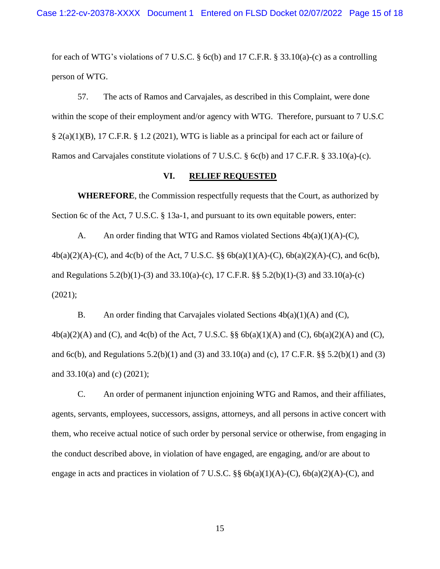for each of WTG's violations of 7 U.S.C. § 6c(b) and 17 C.F.R. § 33.10(a)-(c) as a controlling person of WTG.

57. The acts of Ramos and Carvajales, as described in this Complaint, were done within the scope of their employment and/or agency with WTG. Therefore, pursuant to 7 U.S.C § 2(a)(1)(B), 17 C.F.R. § 1.2 (2021), WTG is liable as a principal for each act or failure of Ramos and Carvajales constitute violations of 7 U.S.C. § 6c(b) and 17 C.F.R. § 33.10(a)-(c).

#### **VI. RELIEF REQUESTED**

**WHEREFORE**, the Commission respectfully requests that the Court, as authorized by Section 6c of the Act, 7 U.S.C. § 13a-1, and pursuant to its own equitable powers, enter:

A. An order finding that WTG and Ramos violated Sections  $4b(a)(1)(A)-(C)$ , 4b(a)(2)(A)-(C), and 4c(b) of the Act, 7 U.S.C. §§ 6b(a)(1)(A)-(C), 6b(a)(2)(A)-(C), and 6c(b), and Regulations 5.2(b)(1)-(3) and 33.10(a)-(c), 17 C.F.R. §§ 5.2(b)(1)-(3) and 33.10(a)-(c) (2021);

B. An order finding that Carvajales violated Sections  $4b(a)(1)(A)$  and (C),  $4b(a)(2)(A)$  and (C), and  $4c(b)$  of the Act, 7 U.S.C. §§  $6b(a)(1)(A)$  and (C),  $6b(a)(2)(A)$  and (C), and 6c(b), and Regulations 5.2(b)(1) and (3) and 33.10(a) and (c), 17 C.F.R. §§ 5.2(b)(1) and (3) and 33.10(a) and (c) (2021);

C. An order of permanent injunction enjoining WTG and Ramos, and their affiliates, agents, servants, employees, successors, assigns, attorneys, and all persons in active concert with them, who receive actual notice of such order by personal service or otherwise, from engaging in the conduct described above, in violation of have engaged, are engaging, and/or are about to engage in acts and practices in violation of 7 U.S.C.  $\S\S$  6b(a)(1)(A)-(C), 6b(a)(2)(A)-(C), and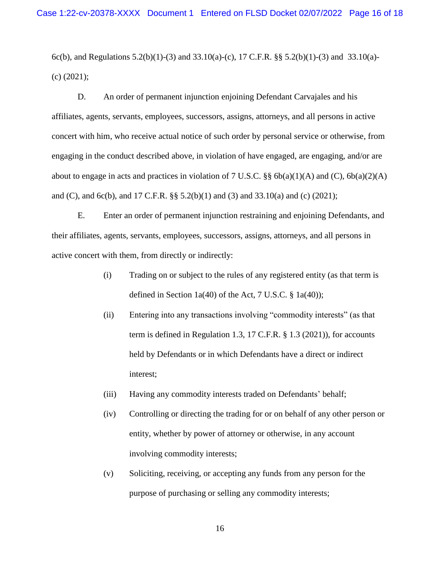6c(b), and Regulations 5.2(b)(1)-(3) and 33.10(a)-(c), 17 C.F.R. §§ 5.2(b)(1)-(3) and 33.10(a)-(c) (2021);

D. An order of permanent injunction enjoining Defendant Carvajales and his affiliates, agents, servants, employees, successors, assigns, attorneys, and all persons in active concert with him, who receive actual notice of such order by personal service or otherwise, from engaging in the conduct described above, in violation of have engaged, are engaging, and/or are about to engage in acts and practices in violation of 7 U.S.C. §§ 6b(a)(1)(A) and (C), 6b(a)(2)(A) and (C), and 6c(b), and 17 C.F.R. §§ 5.2(b)(1) and (3) and 33.10(a) and (c) (2021);

E. Enter an order of permanent injunction restraining and enjoining Defendants, and their affiliates, agents, servants, employees, successors, assigns, attorneys, and all persons in active concert with them, from directly or indirectly:

- (i) Trading on or subject to the rules of any registered entity (as that term is defined in Section 1a(40) of the Act, 7 U.S.C.  $\S$  1a(40));
- (ii) Entering into any transactions involving "commodity interests" (as that term is defined in Regulation 1.3, 17 C.F.R. § 1.3 (2021)), for accounts held by Defendants or in which Defendants have a direct or indirect interest;
- (iii) Having any commodity interests traded on Defendants' behalf;
- (iv) Controlling or directing the trading for or on behalf of any other person or entity, whether by power of attorney or otherwise, in any account involving commodity interests;
- (v) Soliciting, receiving, or accepting any funds from any person for the purpose of purchasing or selling any commodity interests;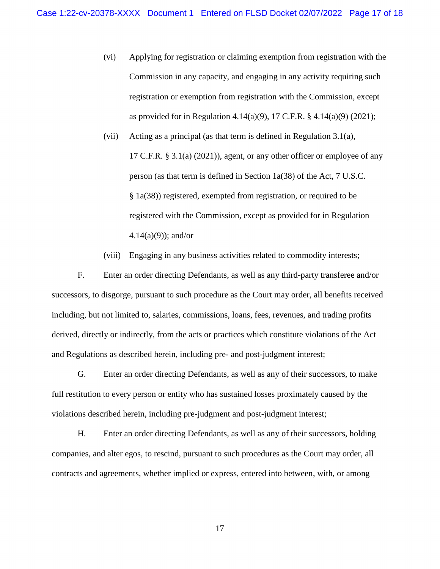- (vi) Applying for registration or claiming exemption from registration with the Commission in any capacity, and engaging in any activity requiring such registration or exemption from registration with the Commission, except as provided for in Regulation 4.14(a)(9), 17 C.F.R. § 4.14(a)(9) (2021);
- (vii) Acting as a principal (as that term is defined in Regulation 3.1(a), 17 C.F.R. § 3.1(a) (2021)), agent, or any other officer or employee of any person (as that term is defined in Section 1a(38) of the Act, 7 U.S.C. § 1a(38)) registered, exempted from registration, or required to be registered with the Commission, except as provided for in Regulation  $4.14(a)(9)$ ; and/or
- (viii) Engaging in any business activities related to commodity interests;

F. Enter an order directing Defendants, as well as any third-party transferee and/or successors, to disgorge, pursuant to such procedure as the Court may order, all benefits received including, but not limited to, salaries, commissions, loans, fees, revenues, and trading profits derived, directly or indirectly, from the acts or practices which constitute violations of the Act and Regulations as described herein, including pre- and post-judgment interest;

G. Enter an order directing Defendants, as well as any of their successors, to make full restitution to every person or entity who has sustained losses proximately caused by the violations described herein, including pre-judgment and post-judgment interest;

H. Enter an order directing Defendants, as well as any of their successors, holding companies, and alter egos, to rescind, pursuant to such procedures as the Court may order, all contracts and agreements, whether implied or express, entered into between, with, or among